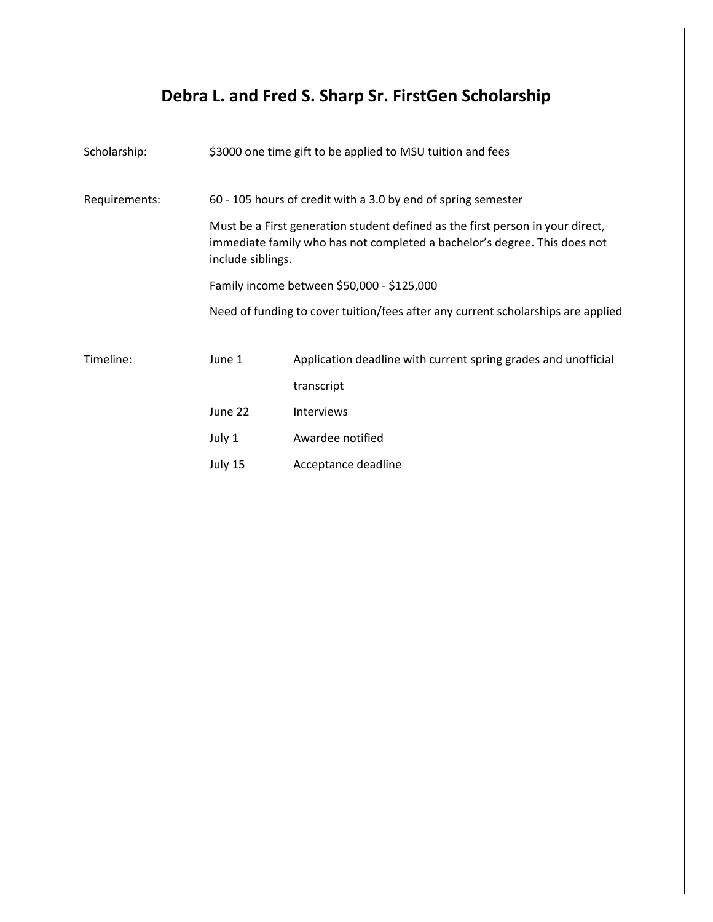## **Debra L. and Fred S. Sharp Sr. FirstGen Scholarship**

| Scholarship:  | \$3000 one time gift to be applied to MSU tuition and fees                                                                                                                       |                                                                                  |  |
|---------------|----------------------------------------------------------------------------------------------------------------------------------------------------------------------------------|----------------------------------------------------------------------------------|--|
| Requirements: | 60 - 105 hours of credit with a 3.0 by end of spring semester                                                                                                                    |                                                                                  |  |
|               | Must be a First generation student defined as the first person in your direct,<br>immediate family who has not completed a bachelor's degree. This does not<br>include siblings. |                                                                                  |  |
|               | Family income between \$50,000 - \$125,000                                                                                                                                       |                                                                                  |  |
|               |                                                                                                                                                                                  | Need of funding to cover tuition/fees after any current scholarships are applied |  |
| Timeline:     | June 1                                                                                                                                                                           | Application deadline with current spring grades and unofficial                   |  |
|               |                                                                                                                                                                                  | transcript                                                                       |  |
|               | June 22                                                                                                                                                                          | Interviews                                                                       |  |
|               | July 1                                                                                                                                                                           | Awardee notified                                                                 |  |
|               | July 15                                                                                                                                                                          | Acceptance deadline                                                              |  |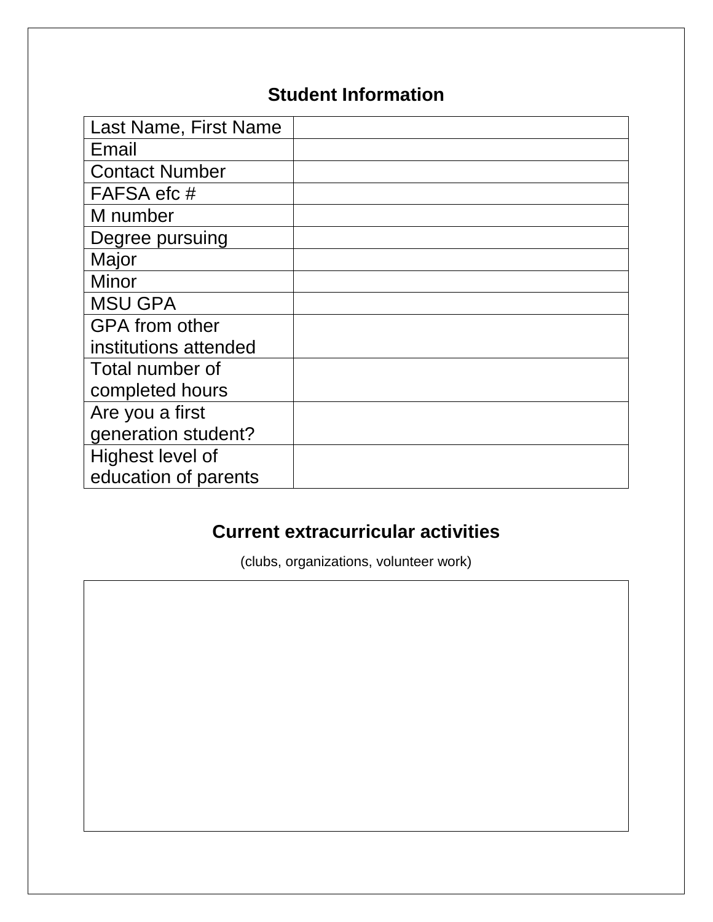## **Student Information**

| Last Name, First Name |  |
|-----------------------|--|
| Email                 |  |
| <b>Contact Number</b> |  |
| FAFSA efc #           |  |
| M number              |  |
| Degree pursuing       |  |
| Major                 |  |
| <b>Minor</b>          |  |
| <b>MSU GPA</b>        |  |
| <b>GPA</b> from other |  |
| institutions attended |  |
| Total number of       |  |
| completed hours       |  |
| Are you a first       |  |
| generation student?   |  |
| Highest level of      |  |
| education of parents  |  |

## **Current extracurricular activities**

(clubs, organizations, volunteer work)